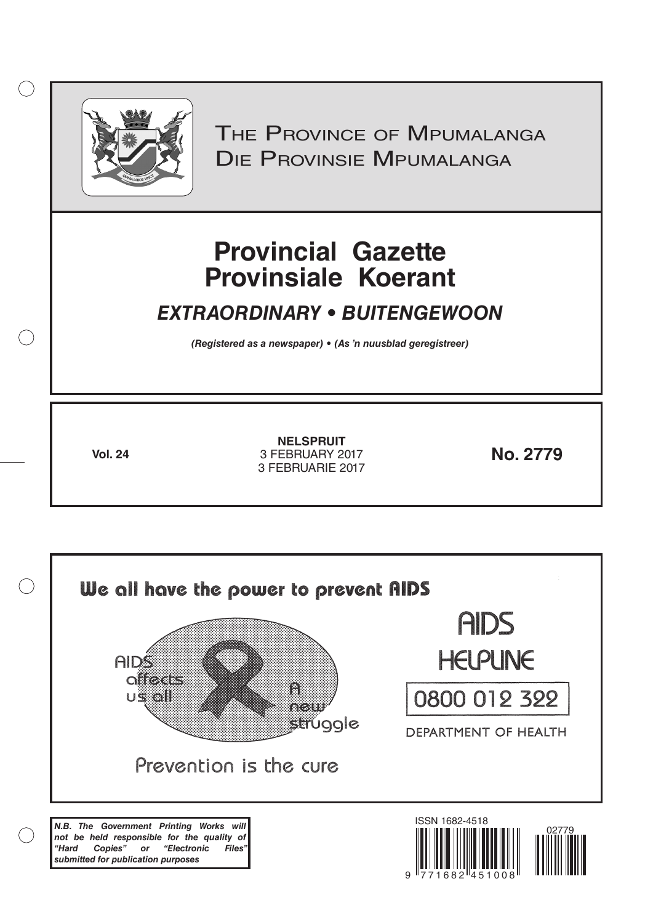

 $( )$ 

THE PROVINCE OF MPUMALANGA Die Provinsie Mpumalanga

# **Provincial Gazette Provinsiale Koerant**

## *EXTRAORDINARY • BUITENGEWOON*

*(Registered as a newspaper) • (As 'n nuusblad geregistreer)*

**Vol. 24 No. 2779** 3 FEBRUARY 2017 **NELSPRUIT** 3 FEBRUARIE 2017

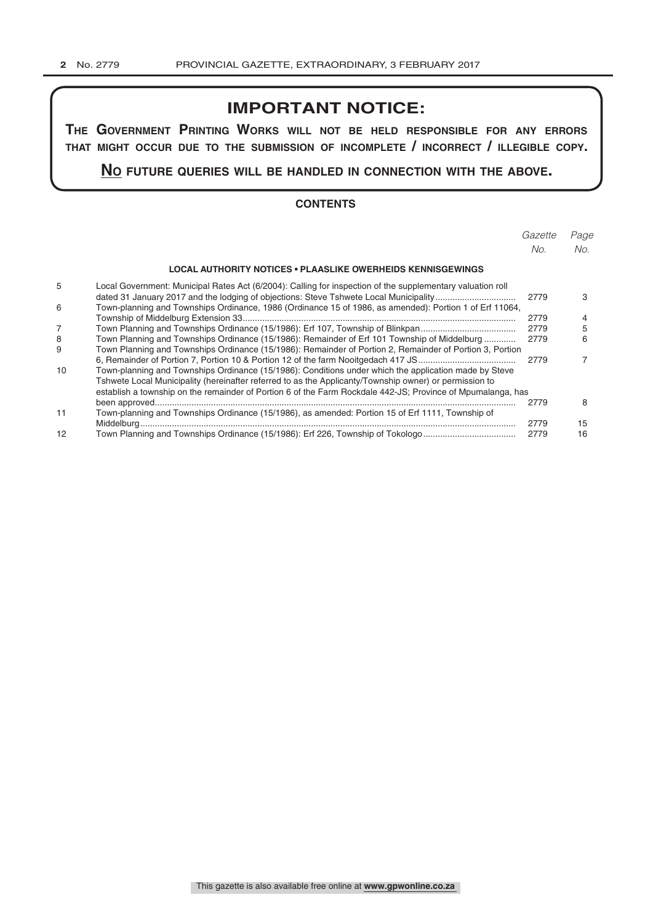### **IMPORTANT NOTICE:**

**The GovernmenT PrinTinG Works Will noT be held resPonsible for any errors ThaT miGhT occur due To The submission of incomPleTe / incorrecT / illeGible coPy.**

**no fuTure queries Will be handled in connecTion WiTh The above.**

#### **CONTENTS**

|                |                                                                                                                                                                                                                 | Gazette<br>No. | Page<br>No. |
|----------------|-----------------------------------------------------------------------------------------------------------------------------------------------------------------------------------------------------------------|----------------|-------------|
|                |                                                                                                                                                                                                                 |                |             |
|                | LOCAL AUTHORITY NOTICES • PLAASLIKE OWERHEIDS KENNISGEWINGS                                                                                                                                                     |                |             |
| 5              | Local Government: Municipal Rates Act (6/2004): Calling for inspection of the supplementary valuation roll                                                                                                      | 2779           | 3           |
| 6              | Town-planning and Townships Ordinance, 1986 (Ordinance 15 of 1986, as amended): Portion 1 of Erf 11064,                                                                                                         | 2779           | 4           |
| $\overline{7}$ |                                                                                                                                                                                                                 | 2779           |             |
| 8              | Town Planning and Townships Ordinance (15/1986): Remainder of Erf 101 Township of Middelburg                                                                                                                    | 2779           | 6           |
| 9              | Town Planning and Townships Ordinance (15/1986): Remainder of Portion 2, Remainder of Portion 3, Portion                                                                                                        |                |             |
|                |                                                                                                                                                                                                                 | 2779           |             |
| 10             | Town-planning and Townships Ordinance (15/1986): Conditions under which the application made by Steve<br>Tshwete Local Municipality (hereinafter referred to as the Applicanty/Township owner) or permission to |                |             |
|                | establish a township on the remainder of Portion 6 of the Farm Rockdale 442-JS; Province of Mpumalanga, has                                                                                                     |                |             |
|                |                                                                                                                                                                                                                 | 2779           | 8           |
| 11             | Town-planning and Townships Ordinance (15/1986), as amended: Portion 15 of Erf 1111, Township of                                                                                                                |                |             |
|                |                                                                                                                                                                                                                 | 2779           | 15          |
| 12             |                                                                                                                                                                                                                 | 2779           | 16          |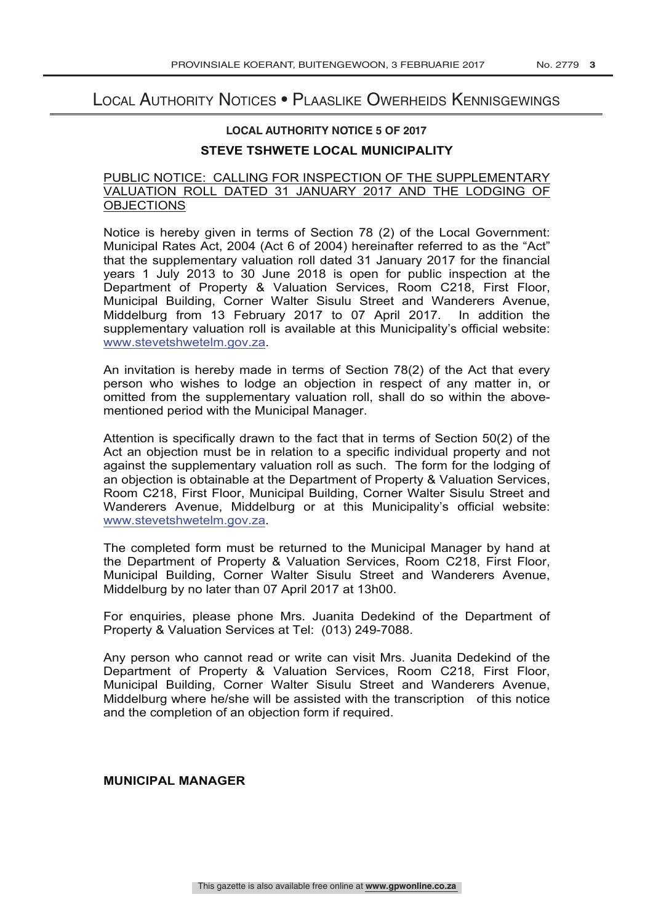### Local Authority Notices • Plaaslike Owerheids Kennisgewings

#### **LOCAL AUTHORITY NOTICE 5 OF 2017**

#### **STEVE TSHWETE LOCAL MUNICIPALITY**

#### PUBLIC NOTICE: CALLING FOR INSPECTION OF THE SUPPLEMENTARY VALUATION ROLL DATED 31 JANUARY 2017 AND THE LODGING OF **OBJECTIONS**

Notice is hereby given in terms of Section 78 (2) of the Local Government: Municipal Rates Act, 2004 (Act 6 of 2004) hereinafter referred to as the "Act" that the supplementary valuation roll dated 31 January 2017 for the financial years 1 July 2013 to 30 June 2018 is open for public inspection at the Department of Property & Valuation Services, Room C218, First Floor, Municipal Building, Corner Walter Sisulu Street and Wanderers Avenue, Middelburg from 13 February 2017 to 07 April 2017. In addition the supplementary valuation roll is available at this Municipality's official website: www.stevetshwetelm.gov.za.

An invitation is hereby made in terms of Section 78(2) of the Act that every person who wishes to lodge an objection in respect of any matter in, or omitted from the supplementary valuation roll, shall do so within the abovementioned period with the Municipal Manager.

Attention is specifically drawn to the fact that in terms of Section 50(2) of the Act an objection must be in relation to a specific individual property and not against the supplementary valuation roll as such. The form for the lodging of an objection is obtainable at the Department of Property & Valuation Services, Room C218, First Floor, Municipal Building, Corner Walter Sisulu Street and Wanderers Avenue, Middelburg or at this Municipality's official website: www.stevetshwetelm.gov.za.

The completed form must be returned to the Municipal Manager by hand at the Department of Property & Valuation Services, Room C218, First Floor, Municipal Building, Corner Walter Sisulu Street and Wanderers Avenue, Middelburg by no later than 07 April 2017 at 13h00.

For enquiries, please phone Mrs. Juanita Dedekind of the Department of Property & Valuation Services at Tel: (013) 249-7088.

Any person who cannot read or write can visit Mrs. Juanita Dedekind of the Department of Property & Valuation Services, Room C218, First Floor, Municipal Building, Corner Walter Sisulu Street and Wanderers Avenue, Middelburg where he/she will be assisted with the transcription of this notice and the completion of an objection form if required.

**MUNICIPAL MANAGER**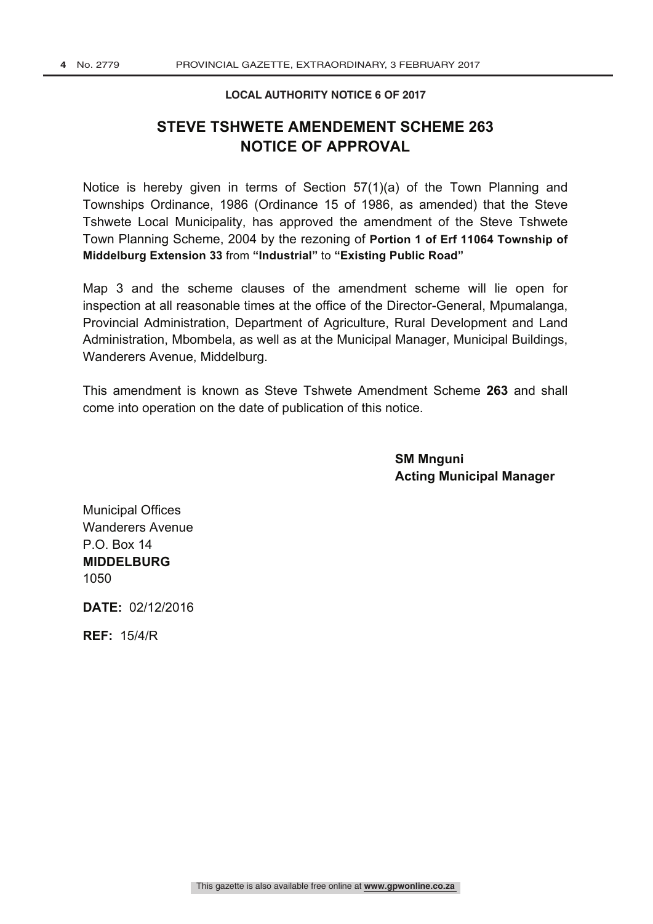#### **LOCAL AUTHORITY NOTICE 6 OF 2017**

## **STEVE TSHWETE AMENDEMENT SCHEME 263 NOTICE OF APPROVAL**

Notice is hereby given in terms of Section 57(1)(a) of the Town Planning and Townships Ordinance, 1986 (Ordinance 15 of 1986, as amended) that the Steve Tshwete Local Municipality, has approved the amendment of the Steve Tshwete Town Planning Scheme, 2004 by the rezoning of **Portion 1 of Erf 11064 Township of Middelburg Extension 33** from **"Industrial"** to **"Existing Public Road"**

Map 3 and the scheme clauses of the amendment scheme will lie open for inspection at all reasonable times at the office of the Director-General, Mpumalanga, Provincial Administration, Department of Agriculture, Rural Development and Land Administration, Mbombela, as well as at the Municipal Manager, Municipal Buildings, Wanderers Avenue, Middelburg.

This amendment is known as Steve Tshwete Amendment Scheme **263** and shall come into operation on the date of publication of this notice.

> **SM Mnguni Acting Municipal Manager**

Municipal Offices Wanderers Avenue P.O. Box 14 **MIDDEL BURG** 1050

**DATE:** 02/12/2016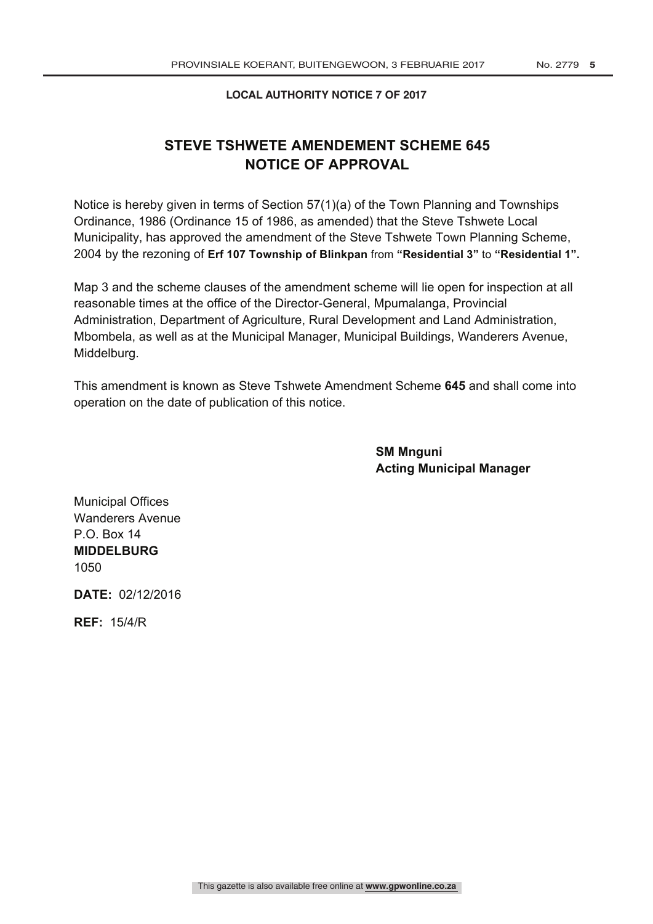#### **LOCAL AUTHORITY NOTICE 7 OF 2017**

## **STEVE TSHWETE AMENDEMENT SCHEME 645 NOTICE OF APPROVAL**

Notice is hereby given in terms of Section 57(1)(a) of the Town Planning and Townships Ordinance, 1986 (Ordinance 15 of 1986, as amended) that the Steve Tshwete Local Municipality, has approved the amendment of the Steve Tshwete Town Planning Scheme, 2004 by the rezoning of **Erf 107 Township of Blinkpan** from **"Residential 3"** to **"Residential 1".**

Map 3 and the scheme clauses of the amendment scheme will lie open for inspection at all reasonable times at the office of the Director-General, Mpumalanga, Provincial Administration, Department of Agriculture, Rural Development and Land Administration, Mbombela, as well as at the Municipal Manager, Municipal Buildings, Wanderers Avenue, Middelburg.

This amendment is known as Steve Tshwete Amendment Scheme **645** and shall come into operation on the date of publication of this notice.

> **SM Mnguni Acting Municipal Manager**

Municipal Offices Wanderers Avenue P.O. Box 14 **MIDDELBURG** 1050

**DATE:** 02/12/2016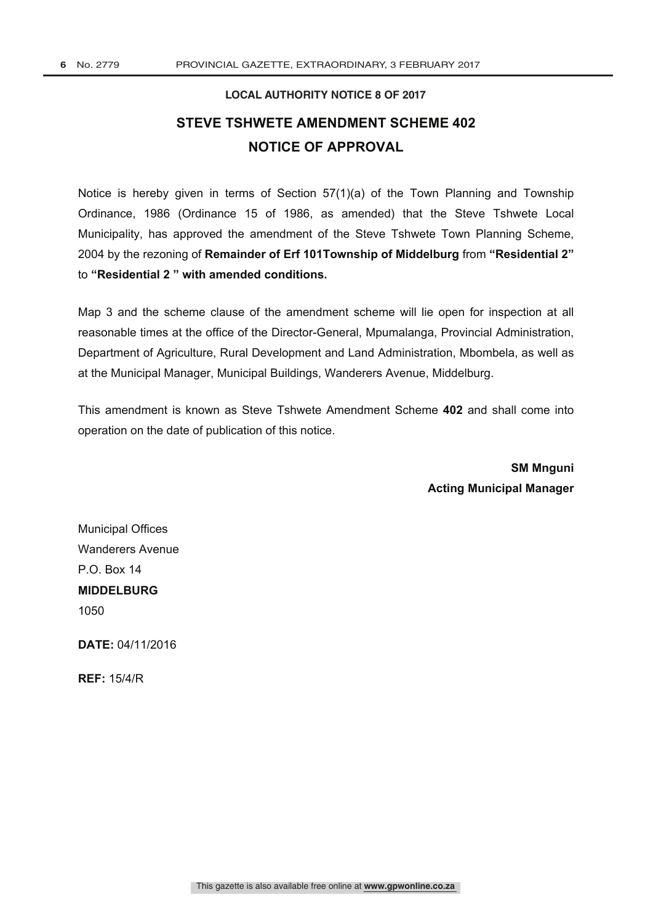## **LOCAL AUTHORITY NOTICE 8 OF 2017 STEVE TSHWETE AMENDMENT SCHEME 402 NOTICE OF APPROVAL**

Notice is hereby given in terms of Section 57(1)(a) of the Town Planning and Township Ordinance, 1986 (Ordinance 15 of 1986, as amended) that the Steve Tshwete Local Municipality, has approved the amendment of the Steve Tshwete Town Planning Scheme, 2004 by the rezoning of **Remainder of Erf 101Township of Middelburg** from **"Residential 2"** to **"Residential 2 " with amended conditions.**

Map 3 and the scheme clause of the amendment scheme will lie open for inspection at all reasonable times at the office of the Director-General, Mpumalanga, Provincial Administration, Department of Agriculture, Rural Development and Land Administration, Mbombela, as well as at the Municipal Manager, Municipal Buildings, Wanderers Avenue, Middelburg.

This amendment is known as Steve Tshwete Amendment Scheme **402** and shall come into operation on the date of publication of this notice.

> **SM Mnguni Acting Municipal Manager**

Municipal Offices Wanderers Avenue P.O. Box 14 **MIDDELBURG** 1050

**DATE:** 04/11/2016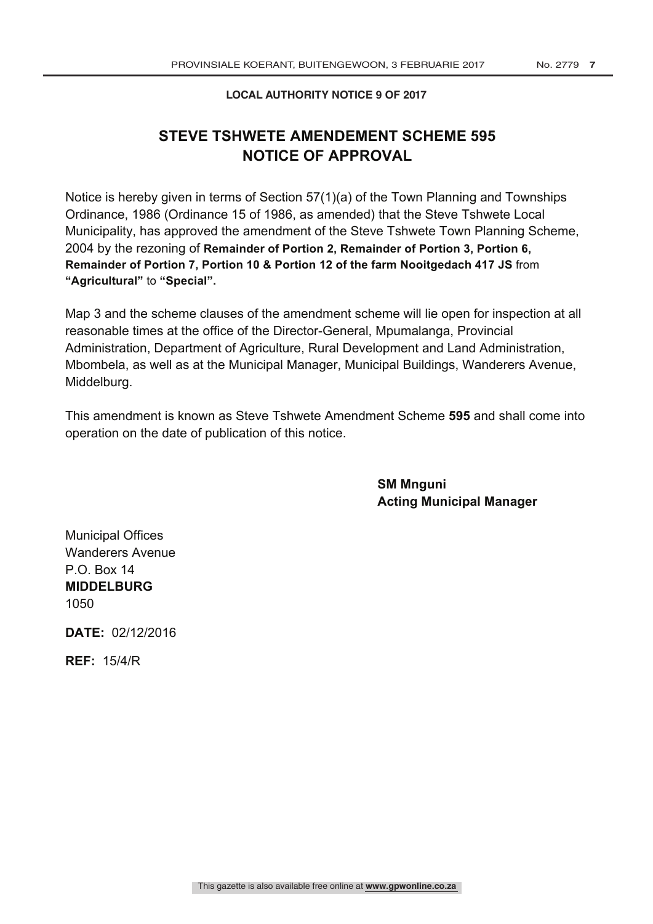#### **LOCAL AUTHORITY NOTICE 9 OF 2017**

## **STEVE TSHWETE AMENDEMENT SCHEME 595 NOTICE OF APPROVAL**

Notice is hereby given in terms of Section 57(1)(a) of the Town Planning and Townships Ordinance, 1986 (Ordinance 15 of 1986, as amended) that the Steve Tshwete Local Municipality, has approved the amendment of the Steve Tshwete Town Planning Scheme, 2004 by the rezoning of **Remainder of Portion 2, Remainder of Portion 3, Portion 6, Remainder of Portion 7, Portion 10 & Portion 12 of the farm Nooitgedach 417 JS** from **"Agricultural"** to **"Special".**

Map 3 and the scheme clauses of the amendment scheme will lie open for inspection at all reasonable times at the office of the Director-General, Mpumalanga, Provincial Administration, Department of Agriculture, Rural Development and Land Administration, Mbombela, as well as at the Municipal Manager, Municipal Buildings, Wanderers Avenue, Middelburg.

This amendment is known as Steve Tshwete Amendment Scheme **595** and shall come into operation on the date of publication of this notice.

> **SM Mnguni Acting Municipal Manager**

Municipal Offices Wanderers Avenue P.O. Box 14 **MIDDELBURG** 1050

**DATE:** 02/12/2016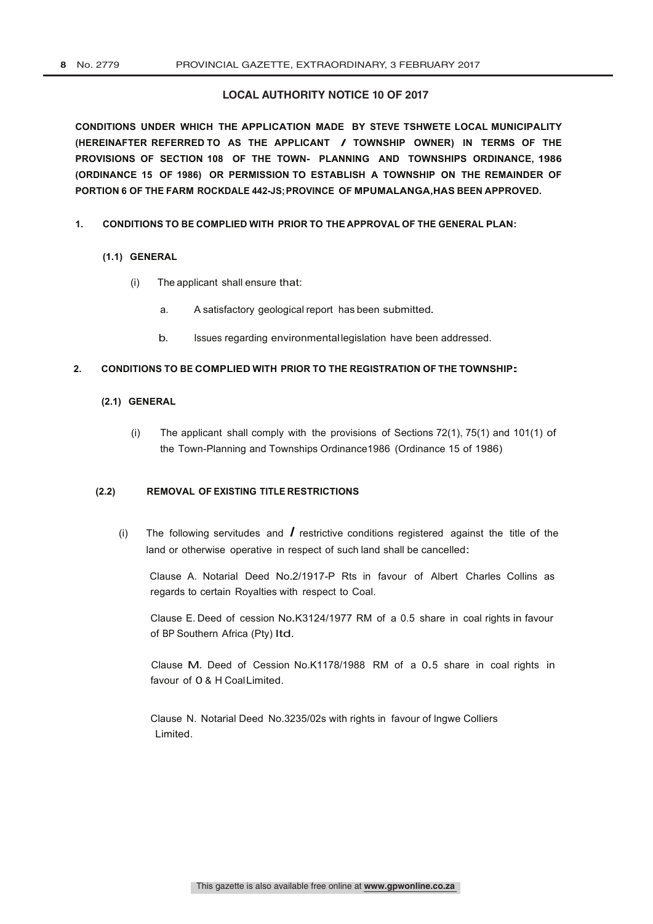#### **LOCAL AUTHORITY NOTICE 10 OF 2017**

**CONDITIONS UNDER WHICH THE APPLICATION MADE BY STEVE TSHWETE LOCAL MUNICIPALITY (HEREINAFTER REFERRED TO AS THE APPLICANT / TOWNSHIP OWNER) IN TERMS OF THE PROVISIONS OF SECTION 108 OF THE TOWN- PLANNING AND TOWNSHIPS ORDINANCE, 1986 (ORDINANCE 15 OF 1986) OR PERMISSION TO ESTABLISH A TOWNSHIP ON THE REMAINDER OF PORTION 6 OF THE FARM ROCKDALE 442-JS;PROVINCE OF MPUMALANGA,HAS BEEN APPROVED.**

#### **1. CONDITIONS TO BE COMPLIED WITH PRIOR TO THE APPROVAL OF THE GENERAL PLAN:**

#### **(1.1) GENERAL**

- (i) The applicant shall ensure that:
	- a. <sup>A</sup> satisfactory geological report has been submitted.
	- b. Issues regarding environmentallegislation have been addressed.

#### **2. CONDITIONS TO BE COMPLIED WITH PRIOR TO THE REGISTRATION OF THE TOWNSHIP:**

#### **(2.1) GENERAL**

(i) The applicant shall comply with the provisions of Sections 72(1), 75(1) and 101(1) of the Town-Planning and Townships Ordinance1986 (Ordinance 15 of 1986)

#### **(2.2) REMOVAL OF EXISTING TITLE RESTRICTIONS**

(i) The following servitudes and *I* restrictive conditions registered against the title of the land or otherwise operative in respect of such land shall be cancelled:

Clause A. Notarial Deed No.2/1917-P Rts in favour of Albert Charles Collins as regards to certain Royalties with respect to Coal.

Clause E. Deed of cession No.K3124/1977 RM of <sup>a</sup> 0.5 share in coal rights in favour of BP Southern Africa (Pty) ltd.

Clause M. Deed of Cession No.K1178/1988 RM of <sup>a</sup> 0.5 share in coal rights in favour of 0 & H CoalLimited.

Clause N. Notarial Deed No.3235/02s with rights in favour of lngwe Colliers Limited.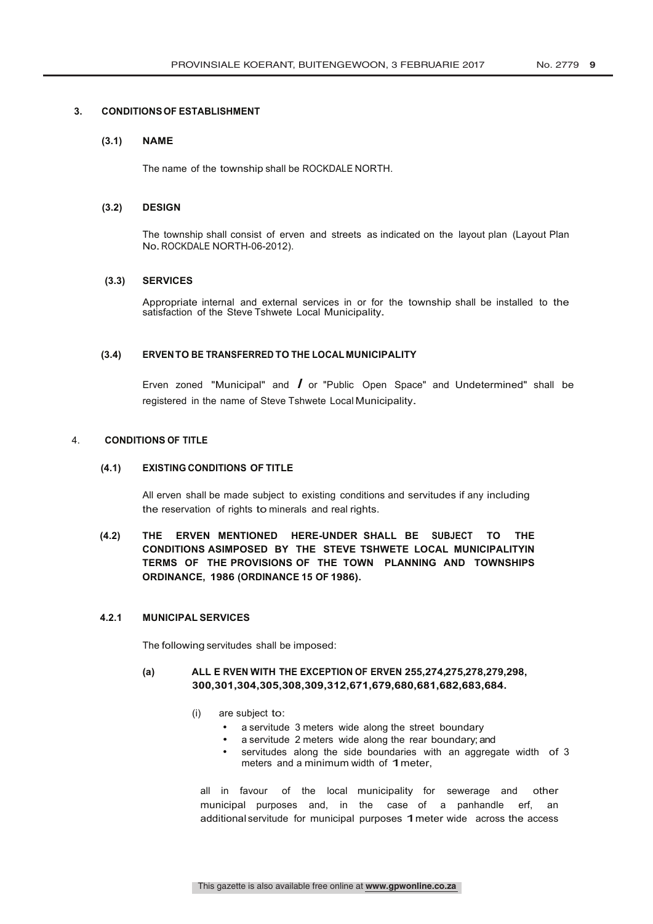#### **3. CONDITIONSOF ESTABLISHMENT**

#### **(3.1) NAME**

The name of the township shall be ROCKDALE NORTH.

#### **(3.2) DESIGN**

The township shall consist of erven and streets as indicated on the layout plan (Layout Plan No.ROCKDALE NORTH-06-2012).

#### **(3.3) SERVICES**

Appropriate internal and external services in or for the township shall be installed to the satisfaction of the Steve Tshwete Local Municipality.

#### **(3.4) ERVENTO BE TRANSFERRED TO THE LOCAL MUNICIPALITY**

Erven zoned "Municipal" and *I* or "Public Open Space" and Undetermined" shall be registered in the name of Steve Tshwete Local Municipality.

#### 4. **CONDITIONS OF TITLE**

#### **(4.1) EXISTING CONDITIONS OF TITLE**

All erven shall be made subject to existing conditions and servitudes if any including the reservation of rights to minerals and real rights.

#### **(4.2) THE ERVEN MENTIONED HERE-UNDER SHALL BE SUBJECT TO THE CONDITIONS ASIMPOSED BY THE STEVE TSHWETE LOCAL MUNICIPALITYIN TERMS OF THE PROVISIONS OF THE TOWN PLANNING AND TOWNSHIPS ORDINANCE, 1986 (ORDINANCE 15 OF 1986).**

#### **4.2.1 MUNICIPAL SERVICES**

The following servitudes shall be imposed:

#### **(a) ALL E RVEN WITH THE EXCEPTION OF ERVEN 255,274,275,278,279,298, 300,301,304,305,308,309,312,671,679,680,681,682,683,684.**

- (i) are subject to:
	- a servitude 3 meters wide along the street boundary
	- a servitude 2 meters wide along the rear boundary; and<br>• servitudes along the side boundaries with an aggregate
	- servitudes along the side boundaries with an aggregate width of 3 meters and a minimum width of 1 meter,

all in favour of the local municipality for sewerage and other municipal purposes and, in the case of a panhandle erf, an additional servitude for municipal purposes 1meter wide across the access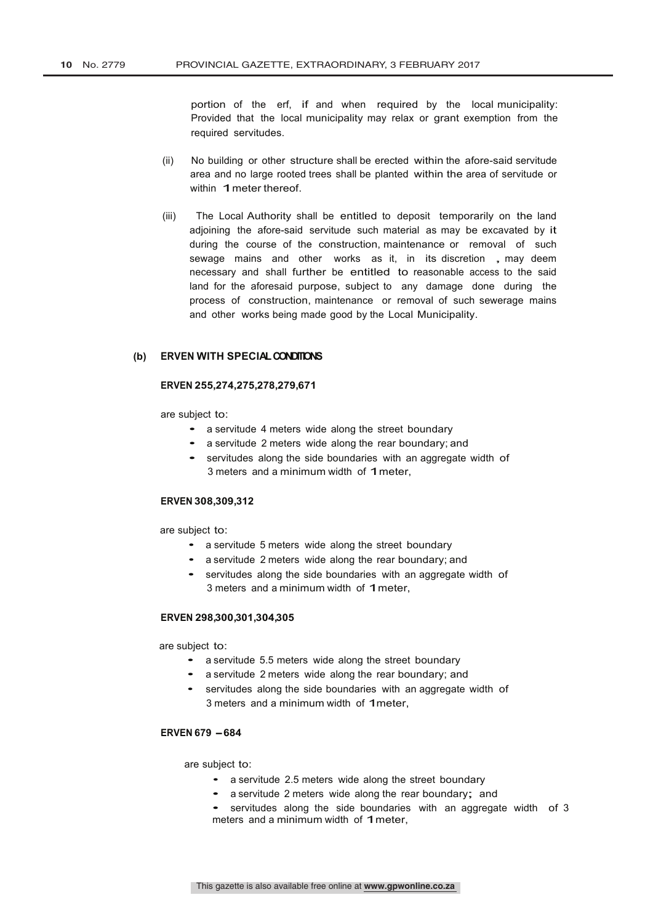portion of the erf, if and when required by the local municipality: Provided that the local municipality may relax or grant exemption from the required servitudes.

- (ii) No building or other structure shall be erected within the afore-said servitude area and no large rooted trees shall be planted within the area of servitude or within 1 meter thereof.
- (iii) The Local Authority shall be entitled to deposit temporarily on the land adjoining the afore-said servitude such material as may be excavated by it during the course of the construction, maintenance or removal of such sewage mains and other works as it, in its discretion, may deem necessary and shall further be entitled to reasonable access to the said land for the aforesaid purpose, subject to any damage done during the process of construction, maintenance or removal of such sewerage mains and other works being made good by the Local Municipality.

#### **(b) ERVEN WITH SPECIAL CONDITIONS**

#### **ERVEN 255,274,275,278,279,671**

are subject to:

- <sup>a</sup> servitude <sup>4</sup> meters wide along the street boundary
- <sup>a</sup> servitude <sup>2</sup> meters wide along the rear boundary; and
- servitudes along the side boundaries with an aggregate width of <sup>3</sup> meters and <sup>a</sup> minimum width of 1meter,

#### **ERVEN 308,309,312**

are subject to:

- <sup>a</sup> servitude <sup>5</sup> meters wide along the street boundary
- <sup>a</sup> servitude <sup>2</sup> meters wide along the rear boundary; and
- servitudes along the side boundaries with an aggregate width of <sup>3</sup> meters and <sup>a</sup> minimum width of 1meter,

#### **ERVEN 298,300,301,304,305**

are subject to:

- <sup>a</sup> servitude 5.5 meters wide along the street boundary
- <sup>a</sup> servitude <sup>2</sup> meters wide along the rear boundary; and
- servitudes along the side boundaries with an aggregate width of <sup>3</sup> meters and a minimum width of 1meter,

#### **ERVEN <sup>679</sup> -684**

are subject to:

- <sup>a</sup> servitude 2.5 meters wide along the street boundary
- a servitude 2 meters wide along the rear boundary; and
- servitudes along the side boundaries with an aggregate width of 3 meters and <sup>a</sup> minimum width of 1meter,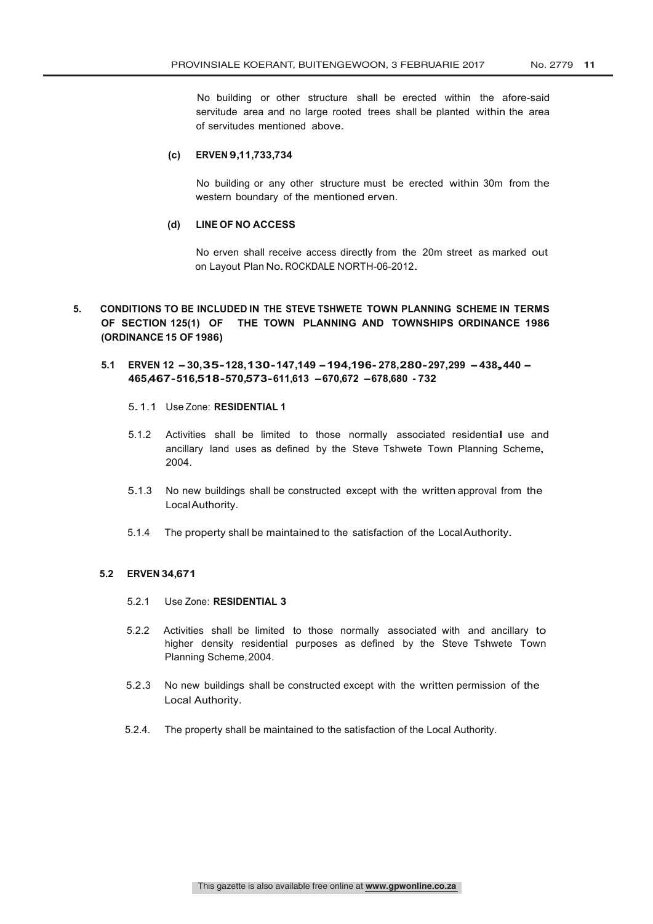No building or other structure shall be erected within the afore-said servitude area and no large rooted trees shall be planted within the area of servitudes mentioned above.

#### **(c) ERVEN 9,11,733,734**

No building or any other structure must be erected within 30m from the western boundary of the mentioned erven.

#### **(d) LINE OF NO ACCESS**

No erven shall receive access directly from the 20m street as marked out on Layout Plan No.ROCKDALE NORTH-06-2012.

#### **5. CONDITIONS TO BE INCLUDED IN THE STEVE TSHWETE TOWN PLANNING SCHEME IN TERMS OF SECTION 125(1) OF THE TOWN PLANNING AND TOWNSHIPS ORDINANCE 1986 (ORDINANCE 15 OF 1986)**

- **5.1 ERVEN 12 -30,35-128,130-147,149 -194,196- 278,280-297,299 -438,440 - 465,467-516,518-570,573-611,613 -670,672 -678,680 - <sup>732</sup>**
	- 5.1.1 Use Zone: **RESIDENTIAL <sup>1</sup>**
	- 5.1.2 Activities shall be limited to those normally associated residential use and ancillary land uses as defined by the Steve Tshwete Town Planning Scheme, 2004.
	- 5.1.3 No new buildings shall be constructed except with the written approval from the LocalAuthority.
	- 5.1.4 The property shall be maintained to the satisfaction of the LocalAuthority.

#### **5.2 ERVEN 34,671**

- 5.2.1 Use Zone: **RESIDENTIAL 3**
- 5.2.2 Activities shall be limited to those normally associated with and ancillary to higher density residential purposes as defined by the Steve Tshwete Town Planning Scheme,2004.
- 5.2.3 No new buildings shall be constructed except with the written permission of the Local Authority.
- 5.2.4. The property shall be maintained to the satisfaction of the Local Authority.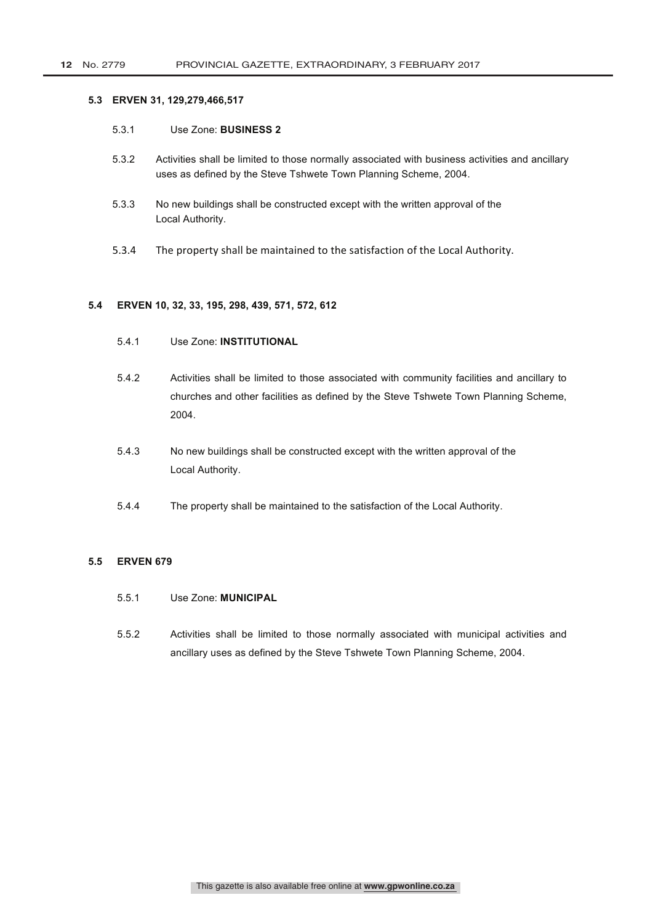#### **5.3 ERVEN 31, 129,279,466,517**

#### 5.3.1 Use Zone: **BUSINESS 2**

- 5.3.2 Activities shall be limited to those normally associated with business activities and ancillary uses as defined by the Steve Tshwete Town Planning Scheme, 2004.
- 5.3.3 No new buildings shall be constructed except with the written approval of the Local Authority.
- 5.3.4 The property shall be maintained to the satisfaction of the Local Authority.

#### **5.4 ERVEN 10, 32, 33, 195, 298, 439, 571, 572, 612**

- 5.4.1 Use Zone: **INSTITUTIONAL**
- 5.4.2 Activities shall be limited to those associated with community facilities and ancillary to churches and other facilities as defined by the Steve Tshwete Town Planning Scheme, 2004.
- 5.4.3 No new buildings shall be constructed except with the written approval of the Local Authority.
- 5.4.4 The property shall be maintained to the satisfaction of the Local Authority.

#### **5.5 ERVEN 679**

- 5.5.1 Use Zone: **MUNICIPAL**
- 5.5.2 Activities shall be limited to those normally associated with municipal activities and ancillary uses as defined by the Steve Tshwete Town Planning Scheme, 2004.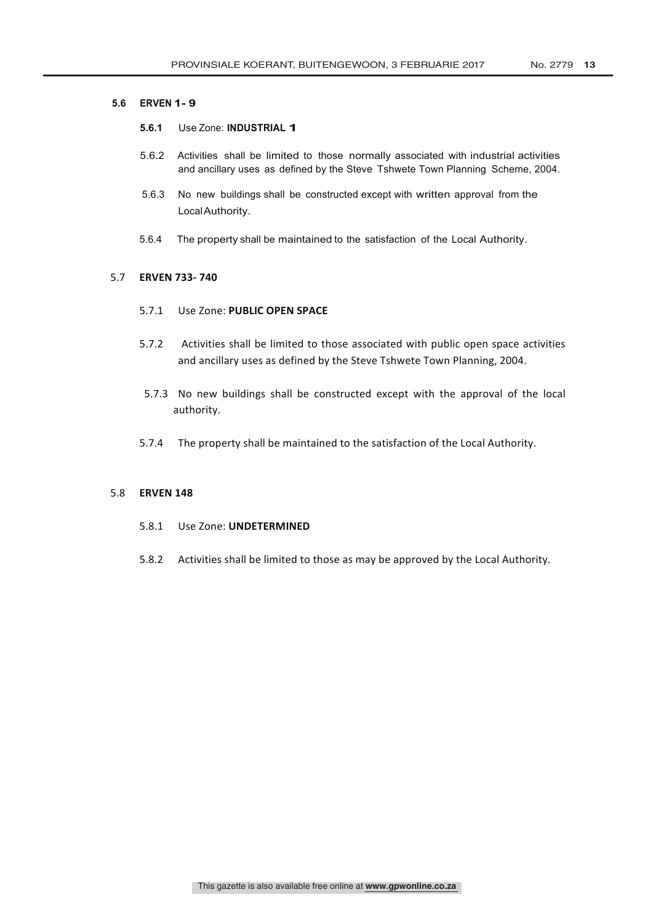#### **5.6 ERVEN 1- 9**

#### **5.6.1** Use Zone: **INDUSTRIAL 1**

- 5.6.2 Activities shall be limited to those normally associated with industrial activities and ancillary uses as defined by the Steve Tshwete Town Planning Scheme, 2004.
- 5.6.3 No new buildings shall be constructed except with written approval from the LocalAuthority.
- 5.6.4 The property shall be maintained to the satisfaction of the Local Authority.

#### 5.7 
 **ERVEN 
733-‐ 740**

- 5.7.1 Use Zone: PUBLIC OPEN SPACE
- 5.7.2 Activities shall be limited to those associated with public open space activities and ancillary uses as defined by the Steve Tshwete Town Planning, 2004.
- 5.7.3 No new buildings shall be constructed except with the approval of the local authority.
- 5.7.4 The property shall be maintained to the satisfaction of the Local Authority.

#### 5.8 
 **ERVEN 
148**

#### 5.8.1 Use Zone: **UNDETERMINED**

5.8.2 Activities shall be limited to those as may be approved by the Local Authority.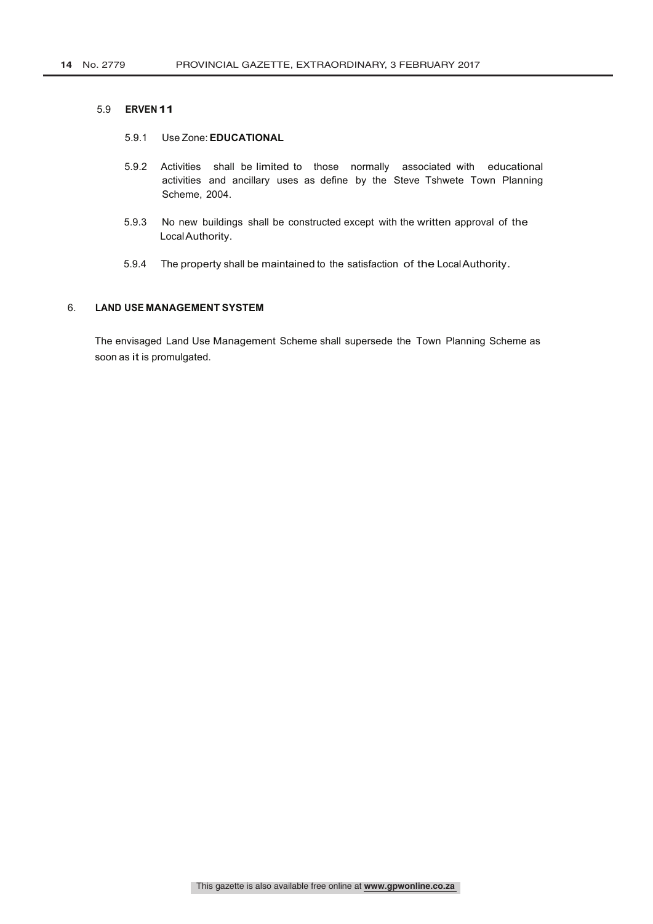#### 5.9 **ERVEN 11**

- 5.9.1 Use Zone:**EDUCATIONAL**
- 5.9.2 Activities shall be limited to those normally associated with educational activities and ancillary uses as define by the Steve Tshwete Town Planning Scheme, 2004.
- 5.9.3 No new buildings shall be constructed except with the written approval of the LocalAuthority.
- 5.9.4 The property shall be maintained to the satisfaction of the LocalAuthority.

#### 6. **LAND USE MANAGEMENT SYSTEM**

The envisaged Land Use Management Scheme shall supersede the Town Planning Scheme as soon as it is promulgated.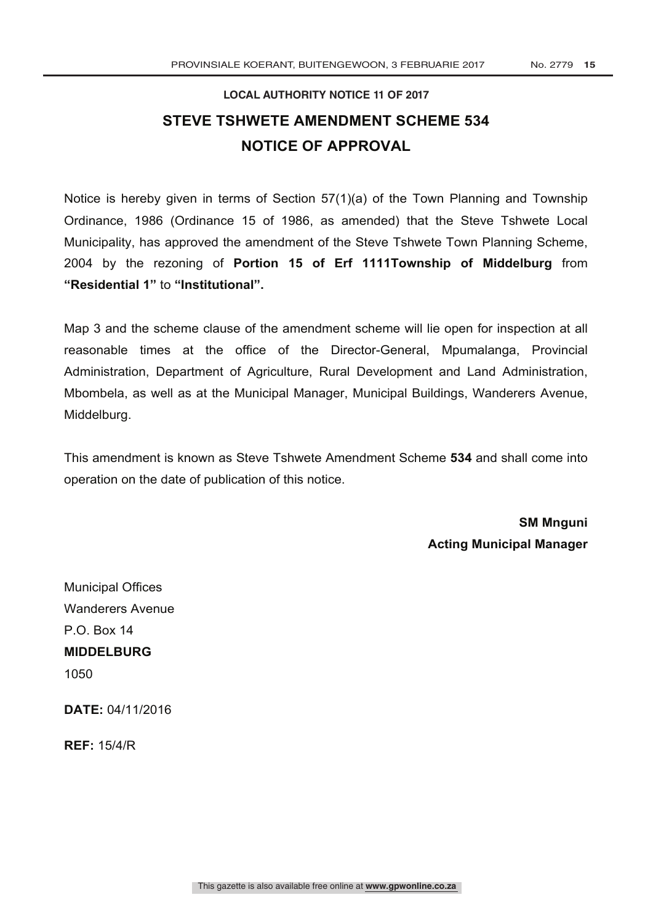## **LOCAL AUTHORITY NOTICE 11 OF 2017 STEVE TSHWETE AMENDMENT SCHEME 534 NOTICE OF APPROVAL**

Notice is hereby given in terms of Section 57(1)(a) of the Town Planning and Township Ordinance, 1986 (Ordinance 15 of 1986, as amended) that the Steve Tshwete Local Municipality, has approved the amendment of the Steve Tshwete Town Planning Scheme, 2004 by the rezoning of **Portion 15 of Erf 1111Township of Middelburg** from **"Residential 1"** to **"Institutional".**

Map 3 and the scheme clause of the amendment scheme will lie open for inspection at all reasonable times at the office of the Director-General, Mpumalanga, Provincial Administration, Department of Agriculture, Rural Development and Land Administration, Mbombela, as well as at the Municipal Manager, Municipal Buildings, Wanderers Avenue, Middelburg.

This amendment is known as Steve Tshwete Amendment Scheme **534** and shall come into operation on the date of publication of this notice.

> **SM Mnguni Acting Municipal Manager**

Municipal Offices Wanderers Avenue P.O. Box 14 **MIDDELBURG** 1050

**DATE:** 04/11/2016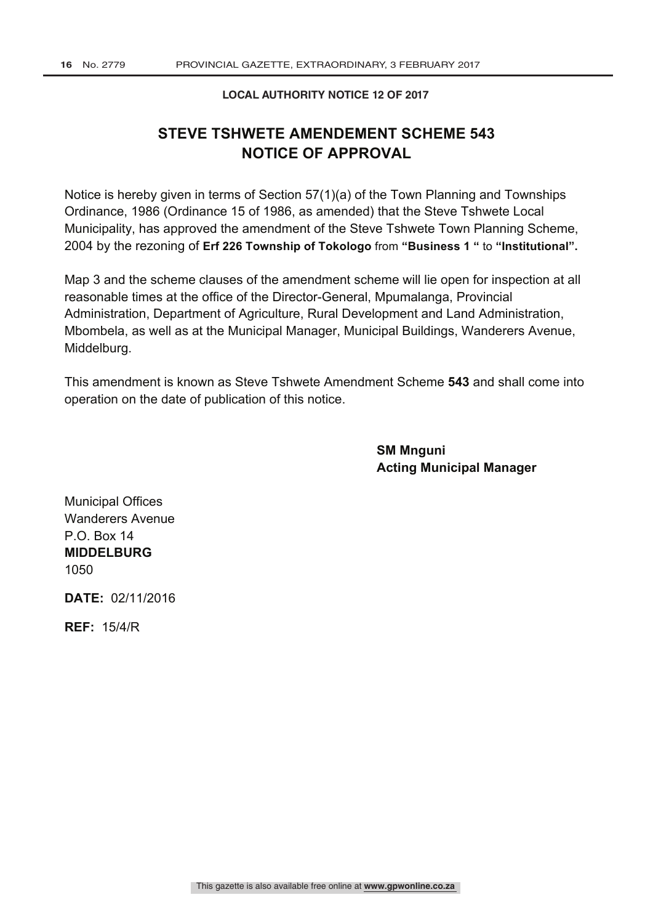#### **LOCAL AUTHORITY NOTICE 12 OF 2017**

## **STEVE TSHWETE AMENDEMENT SCHEME 543 NOTICE OF APPROVAL**

Notice is hereby given in terms of Section 57(1)(a) of the Town Planning and Townships Ordinance, 1986 (Ordinance 15 of 1986, as amended) that the Steve Tshwete Local Municipality, has approved the amendment of the Steve Tshwete Town Planning Scheme, 2004 by the rezoning of **Erf 226 Township of Tokologo** from **"Business 1 "** to **"Institutional".**

Map 3 and the scheme clauses of the amendment scheme will lie open for inspection at all reasonable times at the office of the Director-General, Mpumalanga, Provincial Administration, Department of Agriculture, Rural Development and Land Administration, Mbombela, as well as at the Municipal Manager, Municipal Buildings, Wanderers Avenue, Middelburg.

This amendment is known as Steve Tshwete Amendment Scheme **543** and shall come into operation on the date of publication of this notice.

> **SM Mnguni Acting Municipal Manager**

Municipal Offices Wanderers Avenue P.O. Box 14 **MIDDELBURG** 1050

**DATE:** 02/11/2016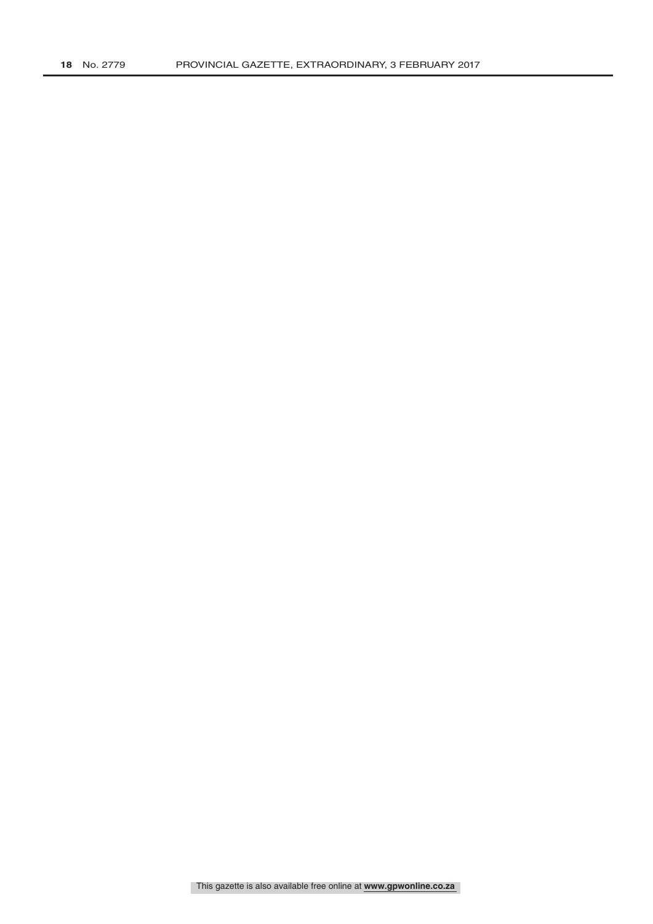This gazette is also available free online at **www.gpwonline.co.za**